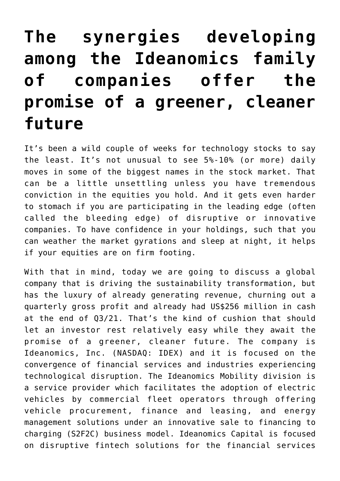## **[The synergies developing](https://investorintel.com/markets/technology/technology-intel/the-synergies-developing-among-the-different-operating-companies-within-the-ideanomics-family-offer-the-promise-of-a-greener-cleaner-future/) [among the Ideanomics family](https://investorintel.com/markets/technology/technology-intel/the-synergies-developing-among-the-different-operating-companies-within-the-ideanomics-family-offer-the-promise-of-a-greener-cleaner-future/) [of companies offer the](https://investorintel.com/markets/technology/technology-intel/the-synergies-developing-among-the-different-operating-companies-within-the-ideanomics-family-offer-the-promise-of-a-greener-cleaner-future/) [promise of a greener, cleaner](https://investorintel.com/markets/technology/technology-intel/the-synergies-developing-among-the-different-operating-companies-within-the-ideanomics-family-offer-the-promise-of-a-greener-cleaner-future/) [future](https://investorintel.com/markets/technology/technology-intel/the-synergies-developing-among-the-different-operating-companies-within-the-ideanomics-family-offer-the-promise-of-a-greener-cleaner-future/)**

It's been a wild couple of weeks for technology stocks to say the least. It's not unusual to see 5%-10% (or more) daily moves in some of the biggest names in the stock market. That can be a little unsettling unless you have tremendous conviction in the equities you hold. And it gets even harder to stomach if you are participating in the leading edge (often called the bleeding edge) of disruptive or innovative companies. To have confidence in your holdings, such that you can weather the market gyrations and sleep at night, it helps if your equities are on firm footing.

With that in mind, today we are going to discuss a global company that is driving the sustainability transformation, but has the luxury of already generating revenue, churning out a quarterly gross profit and already had US\$256 million in cash at the end of Q3/21. That's the kind of cushion that should let an investor rest relatively easy while they await the promise of a greener, cleaner future. The company is [Ideanomics, Inc.](https://ideanomics.com/) (NASDAQ: IDEX) and it is focused on the convergence of financial services and industries experiencing technological disruption. The Ideanomics Mobility division is a service provider which facilitates the adoption of electric vehicles by commercial fleet operators through offering vehicle procurement, finance and leasing, and energy management solutions under an innovative sale to financing to charging (S2F2C) business model. Ideanomics Capital is focused on disruptive fintech solutions for the financial services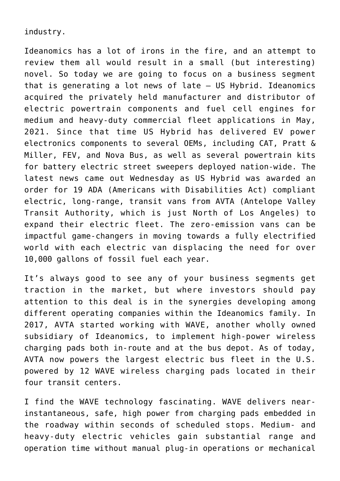industry.

Ideanomics has a lot of irons in the fire, and an attempt to review them all would result in a small (but interesting) novel. So today we are going to focus on a business segment that is generating a lot news of late – [US Hybrid.](https://ushybrid.com/) Ideanomics [acquired the privately held manufacturer](https://investorintel.com/markets/technology/technology-news/ideanomics-signs-a-definitive-agreement-to-acquire-california-based-us-hybrid/) and distributor of electric powertrain components and fuel cell engines for medium and heavy-duty commercial fleet applications in May, 2021. Since that time US Hybrid has delivered EV power electronics components to several OEMs, including CAT, Pratt & Miller, FEV, and Nova Bus, as well as several powertrain kits for [battery electric street sweepers](https://investorintel.com/markets/cleantech/cleantech-news/us-hybrid-receives-5-5-million-purchase-order-from-global-environmental-products-to-electrify-street-sweepers-for-california-and-other-state-fleets/) deployed nation-wide. The latest news came out Wednesday as [US Hybrid was awarded an](https://investorintel.com/markets/cleantech/cleantech-news/us-hybrid-awarded-order-for-19-ada-compliant-electric-vehicles-from-avta-to-expand-their-electric-fleet/) [order](https://investorintel.com/markets/cleantech/cleantech-news/us-hybrid-awarded-order-for-19-ada-compliant-electric-vehicles-from-avta-to-expand-their-electric-fleet/) for 19 ADA (Americans with Disabilities Act) compliant electric, long-range, transit vans from AVTA (Antelope Valley Transit Authority, which is just North of Los Angeles) to expand their electric fleet. The zero-emission vans can be impactful game-changers in moving towards a fully electrified world with each electric van displacing the need for over 10,000 gallons of fossil fuel each year.

It's always good to see any of your business segments get traction in the market, but where investors should pay attention to this deal is in the synergies developing among different operating companies within the Ideanomics family. In 2017, AVTA started working with [WAVE,](https://waveipt.com/) another wholly owned subsidiary of Ideanomics, to implement high-power wireless charging pads both in-route and at the bus depot. As of today, AVTA now powers the largest electric bus fleet in the U.S. powered by 12 WAVE wireless charging pads located in their four transit centers.

I find the WAVE technology fascinating. WAVE delivers nearinstantaneous, safe, high power from charging pads embedded in the roadway within seconds of scheduled stops. Medium- and heavy-duty electric vehicles gain substantial range and operation time without manual plug-in operations or mechanical